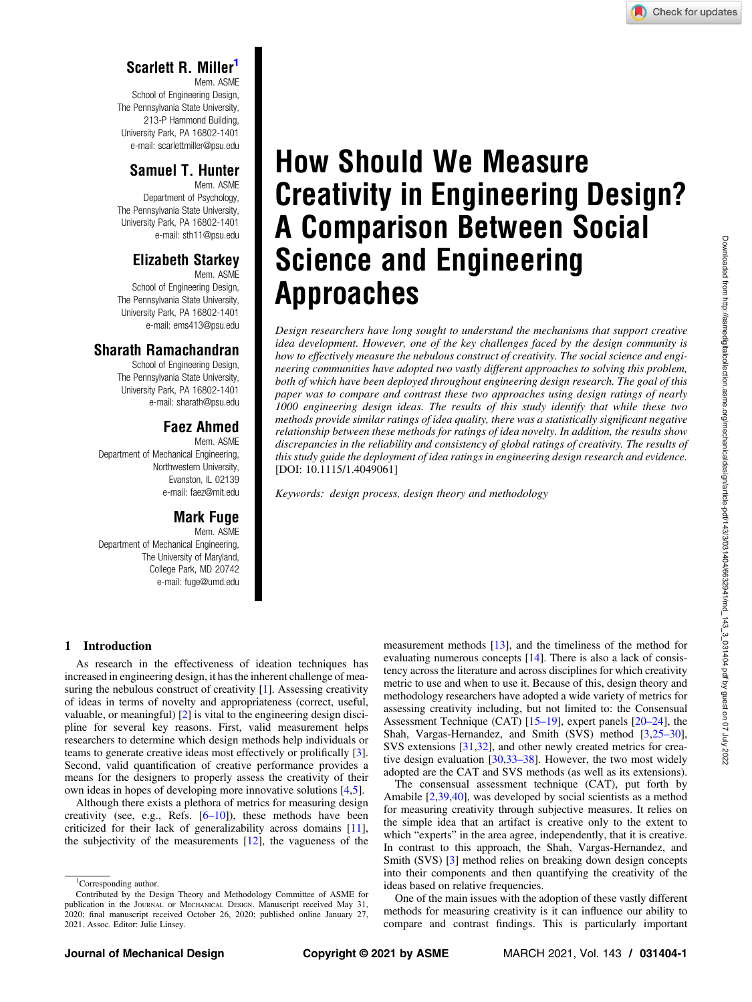# Scarlett R. Miller

Mem. ASME School of Engineering Design, The Pennsylvania State University, 213-P Hammond Building, University Park, PA 16802-1401 e-mail: [scarlettmiller@psu.edu](mailto:scarlettmiller@psu.edu)

## Samuel T. Hunter

Mem. ASME Department of Psychology, The Pennsylvania State University, University Park, PA 16802-1401 e-mail: [sth11@psu.edu](mailto:sth11@psu.edu)

#### Elizabeth Starkey Mem. ASME

School of Engineering Design, The Pennsylvania State University, University Park, PA 16802-1401 e-mail: [ems413@psu.edu](mailto:ems413@psu.edu)

## Sharath Ramachandran

School of Engineering Design, The Pennsylvania State University, University Park, PA 16802-1401 e-mail: [sharath@psu.edu](mailto:sharath@psu.edu)

# Faez Ahmed

Mem. ASME Department of Mechanical Engineering, Northwestern University, Evanston, IL 02139 e-mail: [faez@mit.edu](mailto:faez@mit.edu)

### Mark Fuge

Mem. ASME Department of Mechanical Engineering, The University of Maryland, College Park, MD 20742 e-mail: [fuge@umd.edu](mailto:fuge@umd.edu)

# How Should We Measure Creativity in Engineering Design? A Comparison Between Social Science and Engineering Approaches

Design researchers have long sought to understand the mechanisms that support creative idea development. However, one of the key challenges faced by the design community is how to effectively measure the nebulous construct of creativity. The social science and engineering communities have adopted two vastly different approaches to solving this problem, both of which have been deployed throughout engineering design research. The goal of this paper was to compare and contrast these two approaches using design ratings of nearly 1000 engineering design ideas. The results of this study identify that while these two methods provide similar ratings of idea quality, there was a statistically significant negative relationship between these methods for ratings of idea novelty. In addition, the results show discrepancies in the reliability and consistency of global ratings of creativity. The results of this study guide the deployment of idea ratings in engineering design research and evidence. [DOI: 10.1115/1.4049061]

Keywords: design process, design theory and methodology

## 1 Introduction

As research in the effectiveness of ideation techniques has increased in engineering design, it has the inherent challenge of measuring the nebulous construct of creativity [\[1\]](#page-7-0). Assessing creativity of ideas in terms of novelty and appropriateness (correct, useful, valuable, or meaningful) [[2](#page-7-0)] is vital to the engineering design discipline for several key reasons. First, valid measurement helps researchers to determine which design methods help individuals or teams to generate creative ideas most effectively or prolifically [\[3\]](#page-7-0). Second, valid quantification of creative performance provides a means for the designers to properly assess the creativity of their own ideas in hopes of developing more innovative solutions [[4,5](#page-7-0)].

Although there exists a plethora of metrics for measuring design creativity (see, e.g., Refs.  $[6–10]$ ), these methods have been criticized for their lack of generalizability across domains [[11\]](#page-7-0), the subjectivity of the measurements  $[12]$  $[12]$ , the vagueness of the measurement methods [\[13](#page-7-0)], and the timeliness of the method for evaluating numerous concepts [[14\]](#page-7-0). There is also a lack of consistency across the literature and across disciplines for which creativity metric to use and when to use it. Because of this, design theory and methodology researchers have adopted a wide variety of metrics for assessing creativity including, but not limited to: the Consensual Assessment Technique (CAT) [15–19], expert panels [20–24], the Shah, Vargas-Hernandez, and Smith (SVS) method [[3](#page-7-0),25–30], SVS extensions [[31,32\]](#page-7-0), and other newly created metrics for creative design evaluation [[30](#page-7-0),33–38]. However, the two most widely adopted are the CAT and SVS methods (as well as its extensions).

The consensual assessment technique (CAT), put forth by Amabile [\[2,](#page-7-0)[39,40](#page-8-0)], was developed by social scientists as a method for measuring creativity through subjective measures. It relies on the simple idea that an artifact is creative only to the extent to which "experts" in the area agree, independently, that it is creative. In contrast to this approach, the Shah, Vargas-Hernandez, and Smith (SVS) [\[3\]](#page-7-0) method relies on breaking down design concepts into their components and then quantifying the creativity of the ideas based on relative frequencies.

One of the main issues with the adoption of these vastly different methods for measuring creativity is it can influence our ability to compare and contrast findings. This is particularly important

<sup>&</sup>lt;sup>1</sup>Corresponding author.

Contributed by the Design Theory and Methodology Committee of ASME for publication in the JOURNAL OF MECHANICAL DESIGN. Manuscript received May 31, 2020; final manuscript received October 26, 2020; published online January 27, 2021. Assoc. Editor: Julie Linsey.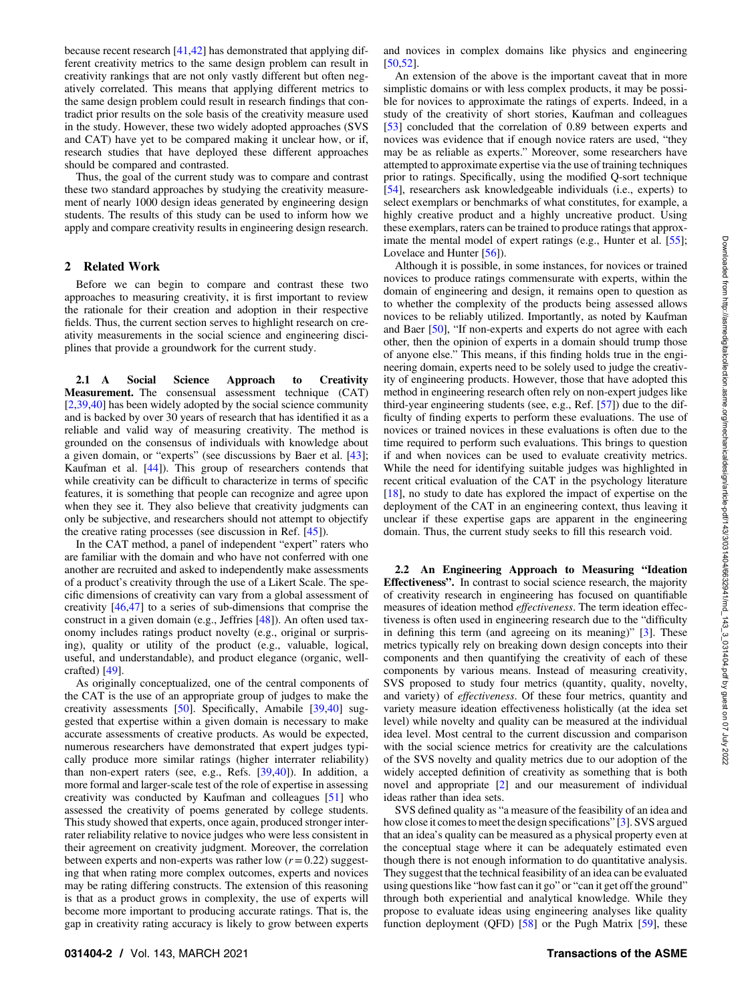because recent research [[41,42\]](#page-8-0) has demonstrated that applying different creativity metrics to the same design problem can result in creativity rankings that are not only vastly different but often negatively correlated. This means that applying different metrics to the same design problem could result in research findings that contradict prior results on the sole basis of the creativity measure used in the study. However, these two widely adopted approaches (SVS and CAT) have yet to be compared making it unclear how, or if, research studies that have deployed these different approaches should be compared and contrasted.

Thus, the goal of the current study was to compare and contrast these two standard approaches by studying the creativity measurement of nearly 1000 design ideas generated by engineering design students. The results of this study can be used to inform how we apply and compare creativity results in engineering design research.

#### 2 Related Work

Before we can begin to compare and contrast these two approaches to measuring creativity, it is first important to review the rationale for their creation and adoption in their respective fields. Thus, the current section serves to highlight research on creativity measurements in the social science and engineering disciplines that provide a groundwork for the current study.

2.1 A Social Science Approach to Creativity Measurement. The consensual assessment technique (CAT) [[2](#page-7-0),[39,40\]](#page-8-0) has been widely adopted by the social science community and is backed by over 30 years of research that has identified it as a reliable and valid way of measuring creativity. The method is grounded on the consensus of individuals with knowledge about a given domain, or "experts" (see discussions by Baer et al. [[43\]](#page-8-0); Kaufman et al. [\[44](#page-8-0)]). This group of researchers contends that while creativity can be difficult to characterize in terms of specific features, it is something that people can recognize and agree upon when they see it. They also believe that creativity judgments can only be subjective, and researchers should not attempt to objectify the creative rating processes (see discussion in Ref. [[45\]](#page-8-0)).

In the CAT method, a panel of independent "expert" raters who are familiar with the domain and who have not conferred with one another are recruited and asked to independently make assessments of a product's creativity through the use of a Likert Scale. The specific dimensions of creativity can vary from a global assessment of creativity [[46,47\]](#page-8-0) to a series of sub-dimensions that comprise the construct in a given domain (e.g., Jeffries [[48\]](#page-8-0)). An often used taxonomy includes ratings product novelty (e.g., original or surprising), quality or utility of the product (e.g., valuable, logical, useful, and understandable), and product elegance (organic, wellcrafted) [\[49](#page-8-0)].

As originally conceptualized, one of the central components of the CAT is the use of an appropriate group of judges to make the creativity assessments [\[50](#page-8-0)]. Specifically, Amabile [\[39](#page-8-0),[40\]](#page-8-0) suggested that expertise within a given domain is necessary to make accurate assessments of creative products. As would be expected, numerous researchers have demonstrated that expert judges typically produce more similar ratings (higher interrater reliability) than non-expert raters (see, e.g., Refs. [[39,40](#page-8-0)]). In addition, a more formal and larger-scale test of the role of expertise in assessing creativity was conducted by Kaufman and colleagues [\[51](#page-8-0)] who assessed the creativity of poems generated by college students. This study showed that experts, once again, produced stronger interrater reliability relative to novice judges who were less consistent in their agreement on creativity judgment. Moreover, the correlation between experts and non-experts was rather low  $(r = 0.22)$  suggesting that when rating more complex outcomes, experts and novices may be rating differing constructs. The extension of this reasoning is that as a product grows in complexity, the use of experts will become more important to producing accurate ratings. That is, the gap in creativity rating accuracy is likely to grow between experts

and novices in complex domains like physics and engineering [[50,52](#page-8-0)].

An extension of the above is the important caveat that in more simplistic domains or with less complex products, it may be possible for novices to approximate the ratings of experts. Indeed, in a study of the creativity of short stories, Kaufman and colleagues [[53\]](#page-8-0) concluded that the correlation of 0.89 between experts and novices was evidence that if enough novice raters are used, "they may be as reliable as experts." Moreover, some researchers have attempted to approximate expertise via the use of training techniques prior to ratings. Specifically, using the modified Q-sort technique [[54\]](#page-8-0), researchers ask knowledgeable individuals (i.e., experts) to select exemplars or benchmarks of what constitutes, for example, a highly creative product and a highly uncreative product. Using these exemplars, raters can be trained to produce ratings that approx-imate the mental model of expert ratings (e.g., Hunter et al. [[55\]](#page-8-0); Lovelace and Hunter [\[56](#page-8-0)]).

Although it is possible, in some instances, for novices or trained novices to produce ratings commensurate with experts, within the domain of engineering and design, it remains open to question as to whether the complexity of the products being assessed allows novices to be reliably utilized. Importantly, as noted by Kaufman and Baer [\[50](#page-8-0)], "If non-experts and experts do not agree with each other, then the opinion of experts in a domain should trump those of anyone else." This means, if this finding holds true in the engineering domain, experts need to be solely used to judge the creativity of engineering products. However, those that have adopted this method in engineering research often rely on non-expert judges like third-year engineering students (see, e.g., Ref. [\[57](#page-8-0)]) due to the difficulty of finding experts to perform these evaluations. The use of novices or trained novices in these evaluations is often due to the time required to perform such evaluations. This brings to question if and when novices can be used to evaluate creativity metrics. While the need for identifying suitable judges was highlighted in recent critical evaluation of the CAT in the psychology literature [[18\]](#page-7-0), no study to date has explored the impact of expertise on the deployment of the CAT in an engineering context, thus leaving it unclear if these expertise gaps are apparent in the engineering domain. Thus, the current study seeks to fill this research void.

2.2 An Engineering Approach to Measuring "Ideation Effectiveness". In contrast to social science research, the majority of creativity research in engineering has focused on quantifiable measures of ideation method effectiveness. The term ideation effectiveness is often used in engineering research due to the "difficulty in defining this term (and agreeing on its meaning)" [\[3\]](#page-7-0). These metrics typically rely on breaking down design concepts into their components and then quantifying the creativity of each of these components by various means. Instead of measuring creativity, SVS proposed to study four metrics (quantity, quality, novelty, and variety) of effectiveness. Of these four metrics, quantity and variety measure ideation effectiveness holistically (at the idea set level) while novelty and quality can be measured at the individual idea level. Most central to the current discussion and comparison with the social science metrics for creativity are the calculations of the SVS novelty and quality metrics due to our adoption of the widely accepted definition of creativity as something that is both novel and appropriate [\[2\]](#page-7-0) and our measurement of individual ideas rather than idea sets.

SVS defined quality as "a measure of the feasibility of an idea and how close it comes to meet the design specifications" [\[3\]](#page-7-0). SVS argued that an idea's quality can be measured as a physical property even at the conceptual stage where it can be adequately estimated even though there is not enough information to do quantitative analysis. They suggest that the technical feasibility of an idea can be evaluated using questions like "how fast can it go" or "can it get off the ground" through both experiential and analytical knowledge. While they propose to evaluate ideas using engineering analyses like quality function deployment (QFD)  $[58]$  $[58]$  or the Pugh Matrix  $[59]$  $[59]$ , these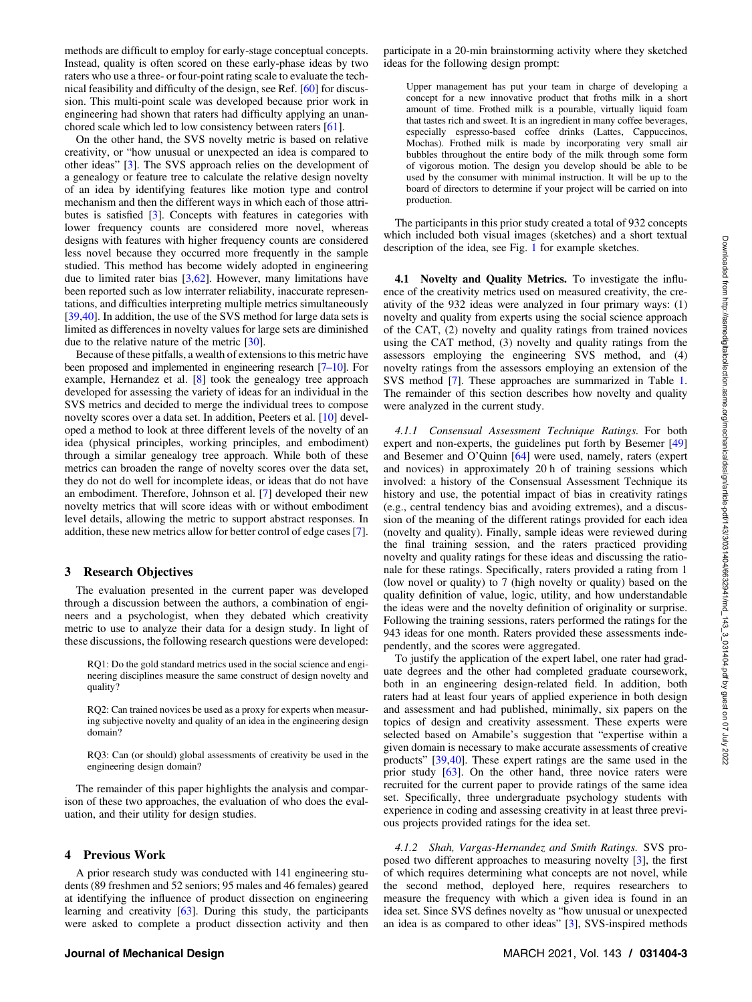methods are difficult to employ for early-stage conceptual concepts. Instead, quality is often scored on these early-phase ideas by two raters who use a three- or four-point rating scale to evaluate the technical feasibility and difficulty of the design, see Ref. [[60\]](#page-8-0) for discussion. This multi-point scale was developed because prior work in engineering had shown that raters had difficulty applying an unanchored scale which led to low consistency between raters [\[61](#page-8-0)].

On the other hand, the SVS novelty metric is based on relative creativity, or "how unusual or unexpected an idea is compared to other ideas" [[3](#page-7-0)]. The SVS approach relies on the development of a genealogy or feature tree to calculate the relative design novelty of an idea by identifying features like motion type and control mechanism and then the different ways in which each of those attributes is satisfied [\[3\]](#page-7-0). Concepts with features in categories with lower frequency counts are considered more novel, whereas designs with features with higher frequency counts are considered less novel because they occurred more frequently in the sample studied. This method has become widely adopted in engineering due to limited rater bias [[3](#page-7-0)[,62](#page-8-0)]. However, many limitations have been reported such as low interrater reliability, inaccurate representations, and difficulties interpreting multiple metrics simultaneously [[39,40](#page-8-0)]. In addition, the use of the SVS method for large data sets is limited as differences in novelty values for large sets are diminished due to the relative nature of the metric [[30\]](#page-7-0).

Because of these pitfalls, a wealth of extensions to this metric have been proposed and implemented in engineering research [7–10]. For example, Hernandez et al. [\[8\]](#page-7-0) took the genealogy tree approach developed for assessing the variety of ideas for an individual in the SVS metrics and decided to merge the individual trees to compose novelty scores over a data set. In addition, Peeters et al. [[10\]](#page-7-0) developed a method to look at three different levels of the novelty of an idea (physical principles, working principles, and embodiment) through a similar genealogy tree approach. While both of these metrics can broaden the range of novelty scores over the data set, they do not do well for incomplete ideas, or ideas that do not have an embodiment. Therefore, Johnson et al. [\[7\]](#page-7-0) developed their new novelty metrics that will score ideas with or without embodiment level details, allowing the metric to support abstract responses. In addition, these new metrics allow for better control of edge cases [\[7\]](#page-7-0).

#### 3 Research Objectives

The evaluation presented in the current paper was developed through a discussion between the authors, a combination of engineers and a psychologist, when they debated which creativity metric to use to analyze their data for a design study. In light of these discussions, the following research questions were developed:

- RQ1: Do the gold standard metrics used in the social science and engineering disciplines measure the same construct of design novelty and quality?
- RQ2: Can trained novices be used as a proxy for experts when measuring subjective novelty and quality of an idea in the engineering design domain?
- RQ3: Can (or should) global assessments of creativity be used in the engineering design domain?

The remainder of this paper highlights the analysis and comparison of these two approaches, the evaluation of who does the evaluation, and their utility for design studies.

#### 4 Previous Work

A prior research study was conducted with 141 engineering students (89 freshmen and 52 seniors; 95 males and 46 females) geared at identifying the influence of product dissection on engineering learning and creativity [[63\]](#page-8-0). During this study, the participants were asked to complete a product dissection activity and then participate in a 20-min brainstorming activity where they sketched ideas for the following design prompt:

Upper management has put your team in charge of developing a concept for a new innovative product that froths milk in a short amount of time. Frothed milk is a pourable, virtually liquid foam that tastes rich and sweet. It is an ingredient in many coffee beverages, especially espresso-based coffee drinks (Lattes, Cappuccinos, Mochas). Frothed milk is made by incorporating very small air bubbles throughout the entire body of the milk through some form of vigorous motion. The design you develop should be able to be used by the consumer with minimal instruction. It will be up to the board of directors to determine if your project will be carried on into production.

The participants in this prior study created a total of 932 concepts which included both visual images (sketches) and a short textual description of the idea, see Fig. [1](#page-3-0) for example sketches.

4.1 Novelty and Quality Metrics. To investigate the influence of the creativity metrics used on measured creativity, the creativity of the 932 ideas were analyzed in four primary ways: (1) novelty and quality from experts using the social science approach of the CAT, (2) novelty and quality ratings from trained novices using the CAT method, (3) novelty and quality ratings from the assessors employing the engineering SVS method, and (4) novelty ratings from the assessors employing an extension of the SVS method [[7](#page-7-0)]. These approaches are summarized in Table [1.](#page-3-0) The remainder of this section describes how novelty and quality were analyzed in the current study.

4.1.1 Consensual Assessment Technique Ratings. For both expert and non-experts, the guidelines put forth by Besemer [\[49](#page-8-0)] and Besemer and O'Quinn [[64\]](#page-8-0) were used, namely, raters (expert and novices) in approximately 20 h of training sessions which involved: a history of the Consensual Assessment Technique its history and use, the potential impact of bias in creativity ratings (e.g., central tendency bias and avoiding extremes), and a discussion of the meaning of the different ratings provided for each idea (novelty and quality). Finally, sample ideas were reviewed during the final training session, and the raters practiced providing novelty and quality ratings for these ideas and discussing the rationale for these ratings. Specifically, raters provided a rating from 1 (low novel or quality) to 7 (high novelty or quality) based on the quality definition of value, logic, utility, and how understandable the ideas were and the novelty definition of originality or surprise. Following the training sessions, raters performed the ratings for the 943 ideas for one month. Raters provided these assessments independently, and the scores were aggregated.

To justify the application of the expert label, one rater had graduate degrees and the other had completed graduate coursework, both in an engineering design-related field. In addition, both raters had at least four years of applied experience in both design and assessment and had published, minimally, six papers on the topics of design and creativity assessment. These experts were selected based on Amabile's suggestion that "expertise within a given domain is necessary to make accurate assessments of creative products" [\[39,40](#page-8-0)]. These expert ratings are the same used in the prior study [\[63](#page-8-0)]. On the other hand, three novice raters were recruited for the current paper to provide ratings of the same idea set. Specifically, three undergraduate psychology students with experience in coding and assessing creativity in at least three previous projects provided ratings for the idea set.

4.1.2 Shah, Vargas-Hernandez and Smith Ratings. SVS proposed two different approaches to measuring novelty [[3](#page-7-0)], the first of which requires determining what concepts are not novel, while the second method, deployed here, requires researchers to measure the frequency with which a given idea is found in an idea set. Since SVS defines novelty as "how unusual or unexpected an idea is as compared to other ideas" [\[3\]](#page-7-0), SVS-inspired methods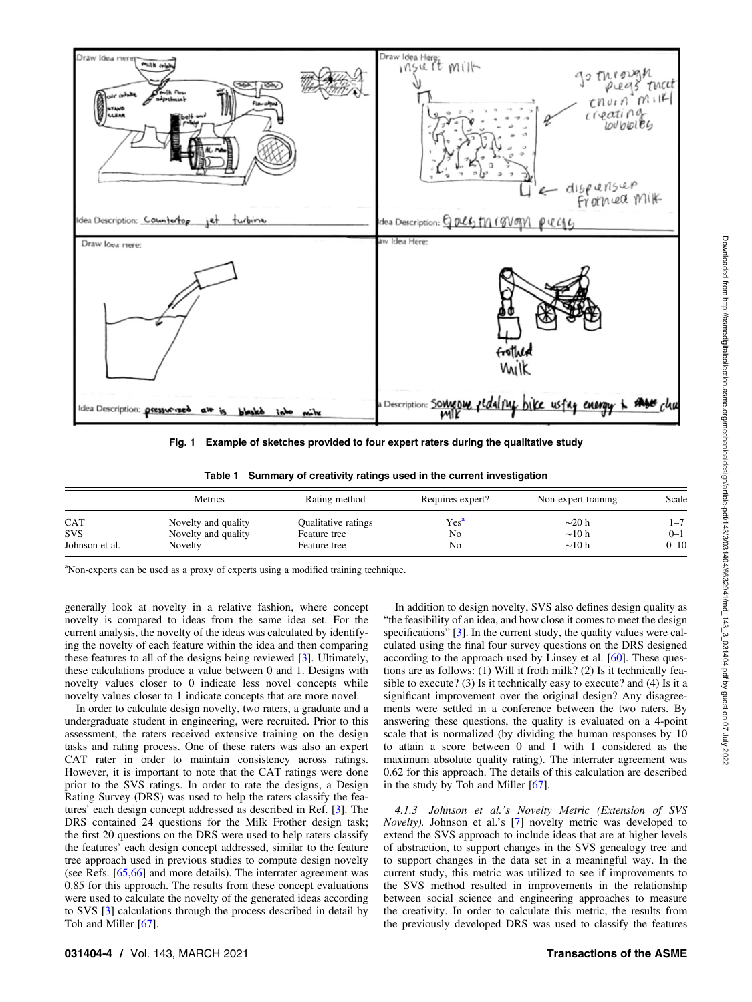<span id="page-3-0"></span>

Fig. 1 Example of sketches provided to four expert raters during the qualitative study

|  |  |  |  |  |  |  | Table 1 Summary of creativity ratings used in the current investigation |
|--|--|--|--|--|--|--|-------------------------------------------------------------------------|
|--|--|--|--|--|--|--|-------------------------------------------------------------------------|

|                          | Metrics                                    | Rating method                       | Requires expert?       | Non-expert training        | Scale              |
|--------------------------|--------------------------------------------|-------------------------------------|------------------------|----------------------------|--------------------|
| <b>CAT</b><br><b>SVS</b> | Novelty and quality<br>Novelty and quality | Qualitative ratings<br>Feature tree | Yes <sup>a</sup><br>No | $\sim$ 20 h<br>$\sim$ 10 h | $1 - 7$<br>$0 - 1$ |
| Johnson et al.           | Novelty                                    | Feature tree                        | No                     | $\sim$ 10 h                | $0 - 10$           |

<sup>a</sup>Non-experts can be used as a proxy of experts using a modified training technique.

generally look at novelty in a relative fashion, where concept novelty is compared to ideas from the same idea set. For the current analysis, the novelty of the ideas was calculated by identifying the novelty of each feature within the idea and then comparing these features to all of the designs being reviewed [\[3\]](#page-7-0). Ultimately, these calculations produce a value between 0 and 1. Designs with novelty values closer to 0 indicate less novel concepts while novelty values closer to 1 indicate concepts that are more novel.

In order to calculate design novelty, two raters, a graduate and a undergraduate student in engineering, were recruited. Prior to this assessment, the raters received extensive training on the design tasks and rating process. One of these raters was also an expert CAT rater in order to maintain consistency across ratings. However, it is important to note that the CAT ratings were done prior to the SVS ratings. In order to rate the designs, a Design Rating Survey (DRS) was used to help the raters classify the features' each design concept addressed as described in Ref. [[3](#page-7-0)]. The DRS contained 24 questions for the Milk Frother design task; the first 20 questions on the DRS were used to help raters classify the features' each design concept addressed, similar to the feature tree approach used in previous studies to compute design novelty (see Refs. [\[65,66](#page-8-0)] and more details). The interrater agreement was 0.85 for this approach. The results from these concept evaluations were used to calculate the novelty of the generated ideas according to SVS [\[3](#page-7-0)] calculations through the process described in detail by Toh and Miller [\[67](#page-8-0)].

In addition to design novelty, SVS also defines design quality as "the feasibility of an idea, and how close it comes to meet the design specifications" [\[3\]](#page-7-0). In the current study, the quality values were calculated using the final four survey questions on the DRS designed according to the approach used by Linsey et al. [\[60](#page-8-0)]. These questions are as follows: (1) Will it froth milk? (2) Is it technically feasible to execute? (3) Is it technically easy to execute? and (4) Is it a significant improvement over the original design? Any disagreements were settled in a conference between the two raters. By answering these questions, the quality is evaluated on a 4-point scale that is normalized (by dividing the human responses by 10 to attain a score between 0 and 1 with 1 considered as the maximum absolute quality rating). The interrater agreement was 0.62 for this approach. The details of this calculation are described in the study by Toh and Miller [\[67](#page-8-0)].

4.1.3 Johnson et al.'s Novelty Metric (Extension of SVS Novelty). Johnson et al.'s [[7](#page-7-0)] novelty metric was developed to extend the SVS approach to include ideas that are at higher levels of abstraction, to support changes in the SVS genealogy tree and to support changes in the data set in a meaningful way. In the current study, this metric was utilized to see if improvements to the SVS method resulted in improvements in the relationship between social science and engineering approaches to measure the creativity. In order to calculate this metric, the results from the previously developed DRS was used to classify the features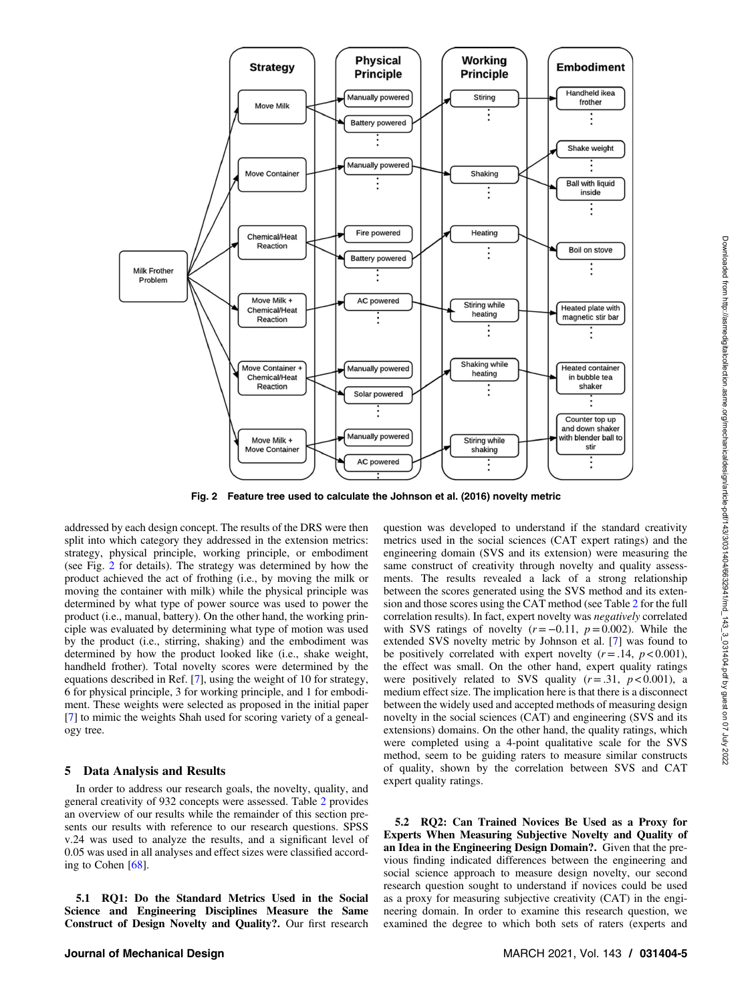

Fig. 2 Feature tree used to calculate the Johnson et al. (2016) novelty metric

addressed by each design concept. The results of the DRS were then split into which category they addressed in the extension metrics: strategy, physical principle, working principle, or embodiment (see Fig. 2 for details). The strategy was determined by how the product achieved the act of frothing (i.e., by moving the milk or moving the container with milk) while the physical principle was determined by what type of power source was used to power the product (i.e., manual, battery). On the other hand, the working principle was evaluated by determining what type of motion was used by the product (i.e., stirring, shaking) and the embodiment was determined by how the product looked like (i.e., shake weight, handheld frother). Total novelty scores were determined by the equations described in Ref. [[7](#page-7-0)], using the weight of 10 for strategy, 6 for physical principle, 3 for working principle, and 1 for embodiment. These weights were selected as proposed in the initial paper [[7](#page-7-0)] to mimic the weights Shah used for scoring variety of a genealogy tree.

#### 5 Data Analysis and Results

In order to address our research goals, the novelty, quality, and general creativity of 932 concepts were assessed. Table [2](#page-5-0) provides an overview of our results while the remainder of this section presents our results with reference to our research questions. SPSS v.24 was used to analyze the results, and a significant level of 0.05 was used in all analyses and effect sizes were classified according to Cohen  $[68]$  $[68]$ .

5.1 RQ1: Do the Standard Metrics Used in the Social Science and Engineering Disciplines Measure the Same Construct of Design Novelty and Quality?. Our first research

question was developed to understand if the standard creativity metrics used in the social sciences (CAT expert ratings) and the engineering domain (SVS and its extension) were measuring the same construct of creativity through novelty and quality assessments. The results revealed a lack of a strong relationship between the scores generated using the SVS method and its extension and those scores using the CAT method (see Table [2](#page-5-0) for the full correlation results). In fact, expert novelty was negatively correlated with SVS ratings of novelty ( $r=-0.11$ ,  $p=0.002$ ). While the extended SVS novelty metric by Johnson et al. [[7](#page-7-0)] was found to be positively correlated with expert novelty  $(r = .14, p < 0.001)$ , the effect was small. On the other hand, expert quality ratings were positively related to SVS quality  $(r=.31, p < 0.001)$ , a medium effect size. The implication here is that there is a disconnect between the widely used and accepted methods of measuring design novelty in the social sciences (CAT) and engineering (SVS and its extensions) domains. On the other hand, the quality ratings, which were completed using a 4-point qualitative scale for the SVS method, seem to be guiding raters to measure similar constructs of quality, shown by the correlation between SVS and CAT expert quality ratings.

5.2 RQ2: Can Trained Novices Be Used as a Proxy for Experts When Measuring Subjective Novelty and Quality of an Idea in the Engineering Design Domain?. Given that the previous finding indicated differences between the engineering and social science approach to measure design novelty, our second research question sought to understand if novices could be used as a proxy for measuring subjective creativity (CAT) in the engineering domain. In order to examine this research question, we examined the degree to which both sets of raters (experts and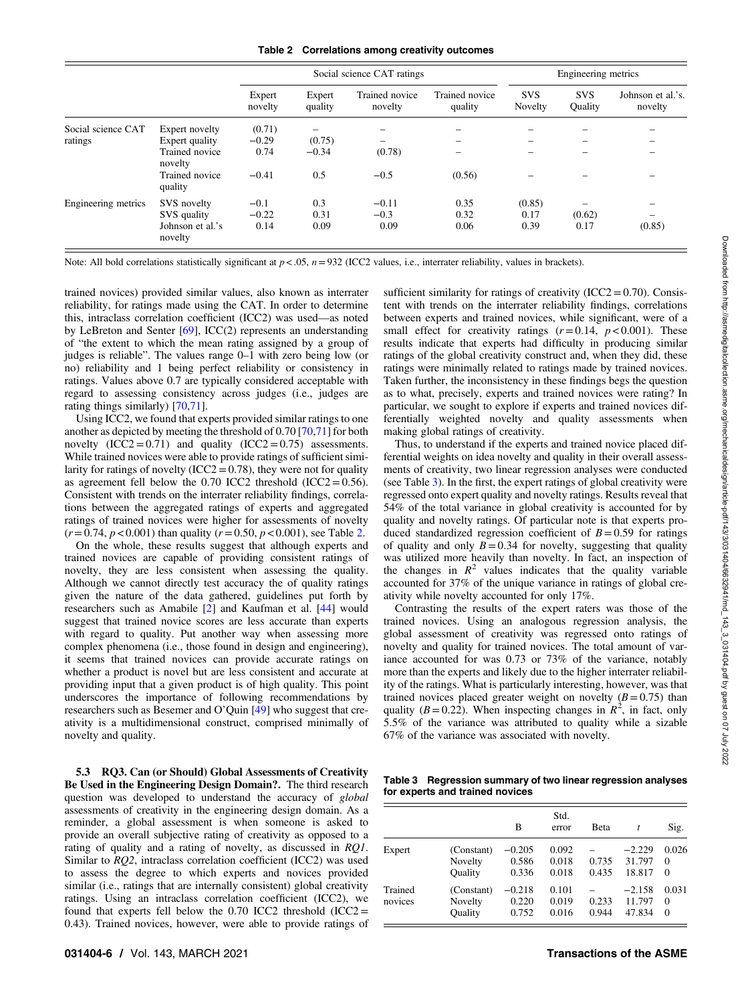Table 2 Correlations among creativity outcomes

<span id="page-5-0"></span>

|                     |                             | Social science CAT ratings |                   |                           |                           | Engineering metrics   |                       |                              |
|---------------------|-----------------------------|----------------------------|-------------------|---------------------------|---------------------------|-----------------------|-----------------------|------------------------------|
|                     |                             | Expert<br>novelty          | Expert<br>quality | Trained novice<br>novelty | Trained novice<br>quality | <b>SVS</b><br>Novelty | <b>SVS</b><br>Ouality | Johnson et al.'s.<br>novelty |
| Social science CAT  | Expert novelty              | (0.71)                     |                   |                           | -                         |                       |                       |                              |
| ratings             | Expert quality              | $-0.29$                    | (0.75)            | $\overline{\phantom{0}}$  | $\overline{\phantom{0}}$  |                       |                       |                              |
|                     | Trained novice<br>novelty   | 0.74                       | $-0.34$           | (0.78)                    |                           |                       |                       |                              |
|                     | Trained novice<br>quality   | $-0.41$                    | 0.5               | $-0.5$                    | (0.56)                    |                       |                       |                              |
| Engineering metrics | SVS novelty                 | $-0.1$                     | 0.3               | $-0.11$                   | 0.35                      | (0.85)                |                       |                              |
|                     | SVS quality                 | $-0.22$                    | 0.31              | $-0.3$                    | 0.32                      | 0.17                  | (0.62)                |                              |
|                     | Johnson et al.'s<br>novelty | 0.14                       | 0.09              | 0.09                      | 0.06                      | 0.39                  | 0.17                  | (0.85)                       |

Note: All bold correlations statistically significant at  $p < .05$ ,  $n = 932$  (ICC2 values, i.e., interrater reliability, values in brackets).

trained novices) provided similar values, also known as interrater reliability, for ratings made using the CAT. In order to determine this, intraclass correlation coefficient (ICC2) was used—as noted by LeBreton and Senter [\[69](#page-8-0)], ICC(2) represents an understanding of "the extent to which the mean rating assigned by a group of judges is reliable". The values range 0–1 with zero being low (or no) reliability and 1 being perfect reliability or consistency in ratings. Values above 0.7 are typically considered acceptable with regard to assessing consistency across judges (i.e., judges are rating things similarly) [[70,71](#page-8-0)].

Using ICC2, we found that experts provided similar ratings to one another as depicted by meeting the threshold of 0.70 [\[70](#page-8-0),[71](#page-8-0)] for both novelty  $(ICC2 = 0.71)$  and quality  $(ICC2 = 0.75)$  assessments. While trained novices were able to provide ratings of sufficient similarity for ratings of novelty (ICC2 =  $0.78$ ), they were not for quality as agreement fell below the 0.70 ICC2 threshold (ICC2 =  $0.56$ ). Consistent with trends on the interrater reliability findings, correlations between the aggregated ratings of experts and aggregated ratings of trained novices were higher for assessments of novelty  $(r=0.74, p < 0.001)$  than quality  $(r = 0.50, p < 0.001)$ , see Table 2.

On the whole, these results suggest that although experts and trained novices are capable of providing consistent ratings of novelty, they are less consistent when assessing the quality. Although we cannot directly test accuracy the of quality ratings given the nature of the data gathered, guidelines put forth by researchers such as Amabile [[2\]](#page-7-0) and Kaufman et al. [[44\]](#page-8-0) would suggest that trained novice scores are less accurate than experts with regard to quality. Put another way when assessing more complex phenomena (i.e., those found in design and engineering), it seems that trained novices can provide accurate ratings on whether a product is novel but are less consistent and accurate at providing input that a given product is of high quality. This point underscores the importance of following recommendations by researchers such as Besemer and O'Quin [\[49](#page-8-0)] who suggest that creativity is a multidimensional construct, comprised minimally of novelty and quality.

5.3 RQ3. Can (or Should) Global Assessments of Creativity Be Used in the Engineering Design Domain?. The third research question was developed to understand the accuracy of global assessments of creativity in the engineering design domain. As a reminder, a global assessment is when someone is asked to provide an overall subjective rating of creativity as opposed to a rating of quality and a rating of novelty, as discussed in RQ1. Similar to RQ2, intraclass correlation coefficient (ICC2) was used to assess the degree to which experts and novices provided similar (i.e., ratings that are internally consistent) global creativity ratings. Using an intraclass correlation coefficient (ICC2), we found that experts fell below the  $0.70$  ICC2 threshold (ICC2 = 0.43). Trained novices, however, were able to provide ratings of sufficient similarity for ratings of creativity  $(ICC2=0.70)$ . Consistent with trends on the interrater reliability findings, correlations between experts and trained novices, while significant, were of a small effect for creativity ratings  $(r=0.14, p<0.001)$ . These results indicate that experts had difficulty in producing similar ratings of the global creativity construct and, when they did, these ratings were minimally related to ratings made by trained novices. Taken further, the inconsistency in these findings begs the question as to what, precisely, experts and trained novices were rating? In particular, we sought to explore if experts and trained novices differentially weighted novelty and quality assessments when making global ratings of creativity.

Thus, to understand if the experts and trained novice placed differential weights on idea novelty and quality in their overall assessments of creativity, two linear regression analyses were conducted (see Table 3). In the first, the expert ratings of global creativity were regressed onto expert quality and novelty ratings. Results reveal that 54% of the total variance in global creativity is accounted for by quality and novelty ratings. Of particular note is that experts produced standardized regression coefficient of  $B=0.59$  for ratings of quality and only  $B=0.34$  for novelty, suggesting that quality was utilized more heavily than novelty. In fact, an inspection of the changes in  $R^2$  values indicates that the quality variable accounted for 37% of the unique variance in ratings of global creativity while novelty accounted for only 17%.

Contrasting the results of the expert raters was those of the trained novices. Using an analogous regression analysis, the global assessment of creativity was regressed onto ratings of novelty and quality for trained novices. The total amount of variance accounted for was 0.73 or 73% of the variance, notably more than the experts and likely due to the higher interrater reliability of the ratings. What is particularly interesting, however, was that trained novices placed greater weight on novelty  $(B=0.75)$  than quality ( $B = 0.22$ ). When inspecting changes in  $\mathbb{R}^2$ , in fact, only 5.5% of the variance was attributed to quality while a sizable 67% of the variance was associated with novelty.

Table 3 Regression summary of two linear regression analyses for experts and trained novices

|                    |                                         | B                          | Std.<br>error           | Beta           | t                            | Sig.                          |
|--------------------|-----------------------------------------|----------------------------|-------------------------|----------------|------------------------------|-------------------------------|
| Expert             | (Constant)<br>Novelty<br><b>Ouality</b> | $-0.205$<br>0.586<br>0.336 | 0.092<br>0.018<br>0.018 | 0.735<br>0.435 | $-2.229$<br>31.797<br>18.817 | 0.026<br>$\Omega$<br>$\Omega$ |
| Trained<br>novices | (Constant)<br>Novelty<br>Ouality        | $-0.218$<br>0.220<br>0.752 | 0.101<br>0.019<br>0.016 | 0.233<br>0.944 | $-2.158$<br>11.797<br>47.834 | 0.031<br>$\Omega$<br>$\Omega$ |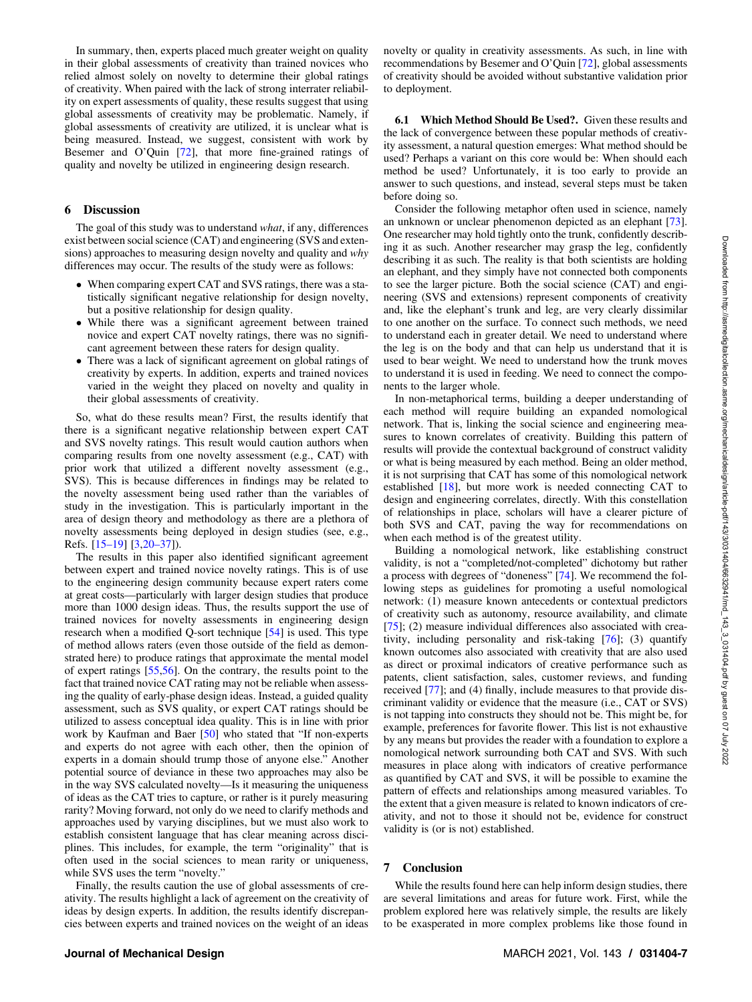In summary, then, experts placed much greater weight on quality in their global assessments of creativity than trained novices who relied almost solely on novelty to determine their global ratings of creativity. When paired with the lack of strong interrater reliability on expert assessments of quality, these results suggest that using global assessments of creativity may be problematic. Namely, if global assessments of creativity are utilized, it is unclear what is being measured. Instead, we suggest, consistent with work by Besemer and O'Quin [\[72](#page-8-0)], that more fine-grained ratings of quality and novelty be utilized in engineering design research.

#### 6 Discussion

The goal of this study was to understand what, if any, differences exist between social science (CAT) and engineering (SVS and extensions) approaches to measuring design novelty and quality and why differences may occur. The results of the study were as follows:

- When comparing expert CAT and SVS ratings, there was a statistically significant negative relationship for design novelty, but a positive relationship for design quality.
- While there was a significant agreement between trained novice and expert CAT novelty ratings, there was no significant agreement between these raters for design quality.
- There was a lack of significant agreement on global ratings of creativity by experts. In addition, experts and trained novices varied in the weight they placed on novelty and quality in their global assessments of creativity.

So, what do these results mean? First, the results identify that there is a significant negative relationship between expert CAT and SVS novelty ratings. This result would caution authors when comparing results from one novelty assessment (e.g., CAT) with prior work that utilized a different novelty assessment (e.g., SVS). This is because differences in findings may be related to the novelty assessment being used rather than the variables of study in the investigation. This is particularly important in the area of design theory and methodology as there are a plethora of novelty assessments being deployed in design studies (see, e.g., Refs. [15–19] [\[3,](#page-7-0)20–37]).

The results in this paper also identified significant agreement between expert and trained novice novelty ratings. This is of use to the engineering design community because expert raters come at great costs—particularly with larger design studies that produce more than 1000 design ideas. Thus, the results support the use of trained novices for novelty assessments in engineering design research when a modified Q-sort technique [\[54](#page-8-0)] is used. This type of method allows raters (even those outside of the field as demonstrated here) to produce ratings that approximate the mental model of expert ratings [[55,56](#page-8-0)]. On the contrary, the results point to the fact that trained novice CAT rating may not be reliable when assessing the quality of early-phase design ideas. Instead, a guided quality assessment, such as SVS quality, or expert CAT ratings should be utilized to assess conceptual idea quality. This is in line with prior work by Kaufman and Baer [[50\]](#page-8-0) who stated that "If non-experts" and experts do not agree with each other, then the opinion of experts in a domain should trump those of anyone else." Another potential source of deviance in these two approaches may also be in the way SVS calculated novelty—Is it measuring the uniqueness of ideas as the CAT tries to capture, or rather is it purely measuring rarity? Moving forward, not only do we need to clarify methods and approaches used by varying disciplines, but we must also work to establish consistent language that has clear meaning across disciplines. This includes, for example, the term "originality" that is often used in the social sciences to mean rarity or uniqueness, while SVS uses the term "novelty."

Finally, the results caution the use of global assessments of creativity. The results highlight a lack of agreement on the creativity of ideas by design experts. In addition, the results identify discrepancies between experts and trained novices on the weight of an ideas novelty or quality in creativity assessments. As such, in line with recommendations by Besemer and O'Quin [[72\]](#page-8-0), global assessments of creativity should be avoided without substantive validation prior to deployment.

6.1 Which Method Should Be Used?. Given these results and the lack of convergence between these popular methods of creativity assessment, a natural question emerges: What method should be used? Perhaps a variant on this core would be: When should each method be used? Unfortunately, it is too early to provide an answer to such questions, and instead, several steps must be taken before doing so.

Consider the following metaphor often used in science, namely an unknown or unclear phenomenon depicted as an elephant [[73\]](#page-8-0). One researcher may hold tightly onto the trunk, confidently describing it as such. Another researcher may grasp the leg, confidently describing it as such. The reality is that both scientists are holding an elephant, and they simply have not connected both components to see the larger picture. Both the social science (CAT) and engineering (SVS and extensions) represent components of creativity and, like the elephant's trunk and leg, are very clearly dissimilar to one another on the surface. To connect such methods, we need to understand each in greater detail. We need to understand where the leg is on the body and that can help us understand that it is used to bear weight. We need to understand how the trunk moves to understand it is used in feeding. We need to connect the components to the larger whole.

In non-metaphorical terms, building a deeper understanding of each method will require building an expanded nomological network. That is, linking the social science and engineering measures to known correlates of creativity. Building this pattern of results will provide the contextual background of construct validity or what is being measured by each method. Being an older method, it is not surprising that CAT has some of this nomological network established [[18\]](#page-7-0), but more work is needed connecting CAT to design and engineering correlates, directly. With this constellation of relationships in place, scholars will have a clearer picture of both SVS and CAT, paving the way for recommendations on when each method is of the greatest utility.

Building a nomological network, like establishing construct validity, is not a "completed/not-completed" dichotomy but rather a process with degrees of "doneness" [[74\]](#page-8-0). We recommend the following steps as guidelines for promoting a useful nomological network: (1) measure known antecedents or contextual predictors of creativity such as autonomy, resource availability, and climate [[75\]](#page-8-0); (2) measure individual differences also associated with creativity, including personality and risk-taking [\[76](#page-8-0)]; (3) quantify known outcomes also associated with creativity that are also used as direct or proximal indicators of creative performance such as patents, client satisfaction, sales, customer reviews, and funding received [\[77](#page-8-0)]; and (4) finally, include measures to that provide discriminant validity or evidence that the measure (i.e., CAT or SVS) is not tapping into constructs they should not be. This might be, for example, preferences for favorite flower. This list is not exhaustive by any means but provides the reader with a foundation to explore a nomological network surrounding both CAT and SVS. With such measures in place along with indicators of creative performance as quantified by CAT and SVS, it will be possible to examine the pattern of effects and relationships among measured variables. To the extent that a given measure is related to known indicators of creativity, and not to those it should not be, evidence for construct validity is (or is not) established.

#### 7 Conclusion

While the results found here can help inform design studies, there are several limitations and areas for future work. First, while the problem explored here was relatively simple, the results are likely to be exasperated in more complex problems like those found in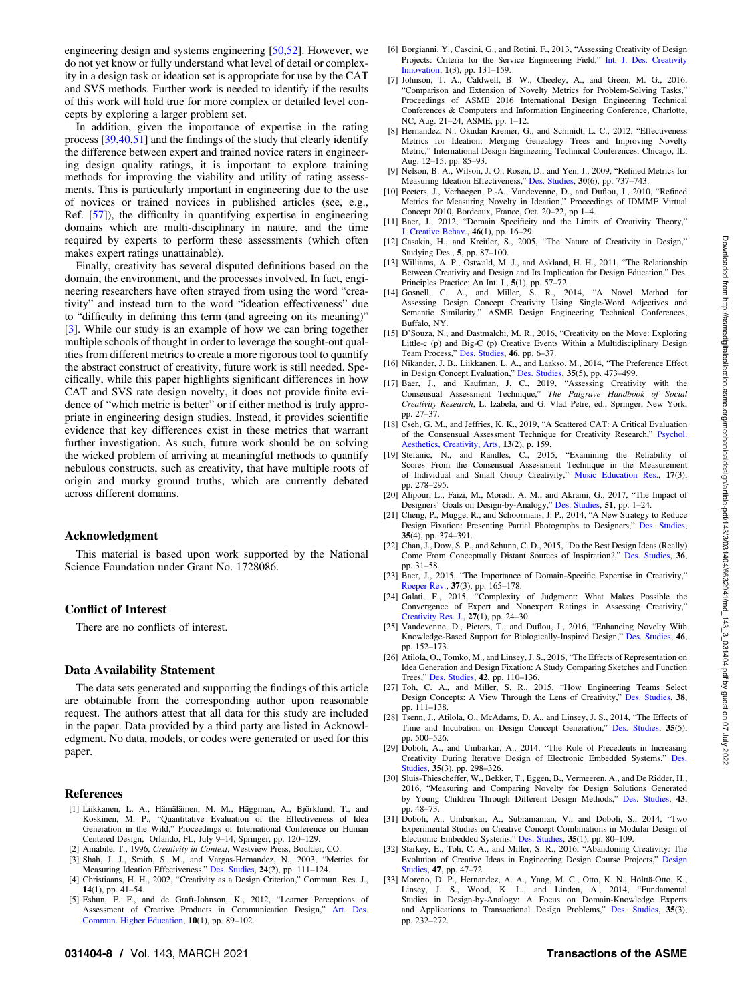<span id="page-7-0"></span>engineering design and systems engineering [\[50,52](#page-8-0)]. However, we do not yet know or fully understand what level of detail or complexity in a design task or ideation set is appropriate for use by the CAT and SVS methods. Further work is needed to identify if the results of this work will hold true for more complex or detailed level concepts by exploring a larger problem set.

In addition, given the importance of expertise in the rating process [[39,40,51](#page-8-0)] and the findings of the study that clearly identify the difference between expert and trained novice raters in engineering design quality ratings, it is important to explore training methods for improving the viability and utility of rating assessments. This is particularly important in engineering due to the use of novices or trained novices in published articles (see, e.g., Ref. [\[57](#page-8-0)]), the difficulty in quantifying expertise in engineering domains which are multi-disciplinary in nature, and the time required by experts to perform these assessments (which often makes expert ratings unattainable).

Finally, creativity has several disputed definitions based on the domain, the environment, and the processes involved. In fact, engineering researchers have often strayed from using the word "creativity" and instead turn to the word "ideation effectiveness" due to "difficulty in defining this term (and agreeing on its meaning)" [3]. While our study is an example of how we can bring together multiple schools of thought in order to leverage the sought-out qualities from different metrics to create a more rigorous tool to quantify the abstract construct of creativity, future work is still needed. Specifically, while this paper highlights significant differences in how CAT and SVS rate design novelty, it does not provide finite evidence of "which metric is better" or if either method is truly appropriate in engineering design studies. Instead, it provides scientific evidence that key differences exist in these metrics that warrant further investigation. As such, future work should be on solving the wicked problem of arriving at meaningful methods to quantify nebulous constructs, such as creativity, that have multiple roots of origin and murky ground truths, which are currently debated across different domains.

#### Acknowledgment

This material is based upon work supported by the National Science Foundation under Grant No. 1728086.

#### Conflict of Interest

There are no conflicts of interest.

#### Data Availability Statement

The data sets generated and supporting the findings of this article are obtainable from the corresponding author upon reasonable request. The authors attest that all data for this study are included in the paper. Data provided by a third party are listed in Acknowledgment. No data, models, or codes were generated or used for this paper.

#### References

- [1] Liikkanen, L. A., Hämäläinen, M. M., Häggman, A., Björklund, T., and Koskinen, M. P., "Quantitative Evaluation of the Effectiveness of Idea Generation in the Wild," Proceedings of International Conference on Human Centered Design, Orlando, FL, July 9–14, Springer, pp. 120–129.
- [2] Amabile, T., 1996, Creativity in Context, Westview Press, Boulder, CO.
- [3] Shah, J. J., Smith, S. M., and Vargas-Hernandez, N., 2003, "Metrics for Measuring Ideation Effectiveness," [Des. Studies,](http://dx.doi.org/10.1016/S0142-694X(02)00034-0) 24(2), pp. 111–124.
- [4] Christiaans, H. H., 2002, "Creativity as a Design Criterion," Commun. Res. J., 14(1), pp. 41–54.
- [5] Eshun, E. F., and de Graft-Johnson, K., 2012, "Learner Perceptions of Assessment of Creative Products in Communication Design," [Art. Des.](http://dx.doi.org/10.1386/adch.10.1.89_1) [Commun. Higher Education,](http://dx.doi.org/10.1386/adch.10.1.89_1) 10(1), pp. 89–102.
- [6] Borgianni, Y., Cascini, G., and Rotini, F., 2013, "Assessing Creativity of Design Projects: Criteria for the Service Engineering Field," [Int. J. Des. Creativity](http://dx.doi.org/10.1080/21650349.2013.806029) [Innovation](http://dx.doi.org/10.1080/21650349.2013.806029), 1(3), pp. 131–159.
- [7] Johnson, T. A., Caldwell, B. W., Cheeley, A., and Green, M. G., 2016, 'Comparison and Extension of Novelty Metrics for Problem-Solving Tasks,' Proceedings of ASME 2016 International Design Engineering Technical Conferences & Computers and Information Engineering Conference, Charlotte, NC, Aug. 21–24, ASME, pp. 1–12.
- [8] Hernandez, N., Okudan Kremer, G., and Schmidt, L. C., 2012, "Effectiveness" Metrics for Ideation: Merging Genealogy Trees and Improving Novelty Metric," International Design Engineering Technical Conferences, Chicago, IL, Aug. 12–15, pp. 85–93.
- [9] Nelson, B. A., Wilson, J. O., Rosen, D., and Yen, J., 2009, "Refined Metrics for Measuring Ideation Effectiveness," [Des. Studies,](http://dx.doi.org/10.1016/j.destud.2009.07.002) 30(6), pp. 737–743.
- [10] Peeters, J., Verhaegen, P.-A., Vandevenne, D., and Duflou, J., 2010, "Refined Metrics for Measuring Novelty in Ideation," Proceedings of IDMME Virtual Concept 2010, Bordeaux, France, Oct. 20–22, pp 1–4.
- [11] Baer, J., 2012, "Domain Specificity and the Limits of Creativity Theory," [J. Creative Behav.,](http://dx.doi.org/10.1002/jocb.002) 46(1), pp. 16–29.
- [12] Casakin, H., and Kreitler, S., 2005, "The Nature of Creativity in Design," Studying Des., 5, pp. 87–100.
- [13] Williams, A. P., Ostwald, M. J., and Askland, H. H., 2011, "The Relationship Between Creativity and Design and Its Implication for Design Education," Des. Principles Practice: An Int. J., 5(1), pp. 57–72.
- [14] Gosnell, C. A., and Miller, S. R., 2014, "A Novel Method for Assessing Design Concept Creativity Using Single-Word Adjectives and Semantic Similarity," ASME Design Engineering Technical Conferences, Buffalo, NY.
- [15] D'Souza, N., and Dastmalchi, M. R., 2016, "Creativity on the Move: Exploring Little-c (p) and Big-C (p) Creative Events Within a Multidisciplinary Design Team Process," [Des. Studies](https://dx.doi.org/10.1016/j.destud.2016.07.003), 46, pp. 6–37.
- [16] Nikander, J. B., Liikkanen, L. A., and Laakso, M., 2014, "The Preference Effect in Design Concept Evaluation," [Des. Studies,](http://dx.doi.org/10.1016/j.destud.2014.02.006) 35(5), pp. 473–499.
- [17] Baer, J., and Kaufman, J. C., 2019, "Assessing Creativity with the Consensual Assessment Technique," The Palgrave Handbook of Social Creativity Research, L. Izabela, and G. Vlad Petre, ed., Springer, New York, pp. 27–37.
- [18] Cseh, G. M., and Jeffries, K. K., 2019, "A Scattered CAT: A Critical Evaluation of the Consensual Assessment Technique for Creativity Research," [Psychol.](http://dx.doi.org/10.1037/aca0000220) [Aesthetics, Creativity, Arts](http://dx.doi.org/10.1037/aca0000220), 13(2), p. 159.
- [19] Stefanic, N., and Randles, C., 2015, "Examining the Reliability of Scores From the Consensual Assessment Technique in the Measurement of Individual and Small Group Creativity," [Music Education Res.](http://dx.doi.org/10.1080/14613808.2014.909398), 17(3), pp. 278–295.
- [20] Alipour, L., Faizi, M., Moradi, A. M., and Akrami, G., 2017, "The Impact of Designers' Goals on Design-by-Analogy," [Des. Studies,](http://dx.doi.org/10.1016/j.destud.2017.04.001) 51, pp. 1–24.
- [21] Cheng, P., Mugge, R., and Schoormans, J. P., 2014, "A New Strategy to Reduce Design Fixation: Presenting Partial Photographs to Designers," [Des. Studies](http://dx.doi.org/10.1016/j.destud.2014.02.004), 35(4), pp. 374–391.
- [22] Chan, J., Dow, S. P., and Schunn, C. D., 2015, "Do the Best Design Ideas (Really) Come From Conceptually Distant Sources of Inspiration?," [Des. Studies](http://dx.doi.org/10.1016/j.destud.2014.08.001), 36, pp. 31–58.
- [23] Baer, J., 2015, "The Importance of Domain-Specific Expertise in Creativity," [Roeper Rev.](http://dx.doi.org/10.1080/02783193.2015.1047480), 37(3), pp. 165–178.
- [24] Galati, F., 2015, "Complexity of Judgment: What Makes Possible the Convergence of Expert and Nonexpert Ratings in Assessing Creativity,' [Creativity Res. J.,](http://dx.doi.org/10.1080/10400419.2015.992667) 27(1), pp. 24–30.
- [25] Vandevenne, D., Pieters, T., and Duflou, J., 2016, "Enhancing Novelty With Knowledge-Based Support for Biologically-Inspired Design," [Des. Studies](http://dx.doi.org/10.1016/j.destud.2016.05.003), 46, pp. 152–173.
- [26] Atilola, O., Tomko, M., and Linsey, J. S., 2016, "The Effects of Representation on Idea Generation and Design Fixation: A Study Comparing Sketches and Function Trees," [Des. Studies](http://dx.doi.org/10.1016/j.destud.2015.10.005), 42, pp. 110–136.
- [27] Toh, C. A., and Miller, S. R., 2015, "How Engineering Teams Select Design Concepts: A View Through the Lens of Creativity," [Des. Studies,](http://dx.doi.org/10.1016/j.destud.2015.03.001) 38, pp. 111–138.
- [28] Tsenn, J., Atilola, O., McAdams, D. A., and Linsey, J. S., 2014, "The Effects of Time and Incubation on Design Concept Generation," [Des. Studies,](http://dx.doi.org/10.1016/j.destud.2014.02.003) 35(5), pp. 500–526.
- [29] Doboli, A., and Umbarkar, A., 2014, "The Role of Precedents in Increasing Creativity During Iterative Design of Electronic Embedded Systems," [Des.](http://dx.doi.org/10.1016/j.destud.2014.01.001) [Studies,](http://dx.doi.org/10.1016/j.destud.2014.01.001) 35(3), pp. 298–326.
- [30] Sluis-Thiescheffer, W., Bekker, T., Eggen, B., Vermeeren, A., and De Ridder, H., 2016, "Measuring and Comparing Novelty for Design Solutions Generated by Young Children Through Different Design Methods," [Des. Studies,](http://dx.doi.org/10.1016/j.destud.2016.01.001) 43, pp. 48–73.
- [31] Doboli, A., Umbarkar, A., Subramanian, V., and Doboli, S., 2014, "Two Experimental Studies on Creative Concept Combinations in Modular Design of Electronic Embedded Systems," [Des. Studies,](http://dx.doi.org/10.1016/j.destud.2013.10.002) 35(1), pp. 80–109.
- [32] Starkey, E., Toh, C. A., and Miller, S. R., 2016, "Abandoning Creativity: The Evolution of Creative Ideas in Engineering Design Course Projects," [Design](https://dx.doi.org/10.1016/j.destud.2016.08.003) [Studies,](https://dx.doi.org/10.1016/j.destud.2016.08.003) 47, pp. 47–72.
- [33] Moreno, D. P., Hernandez, A. A., Yang, M. C., Otto, K. N., Hölttä-Otto, K., Linsey, J. S., Wood, K. L., and Linden, A., 2014, "Fundamental Studies in Design-by-Analogy: A Focus on Domain-Knowledge Experts and Applications to Transactional Design Problems," [Des. Studies](http://dx.doi.org/10.1016/j.destud.2013.11.002), 35(3), pp. 232–272.